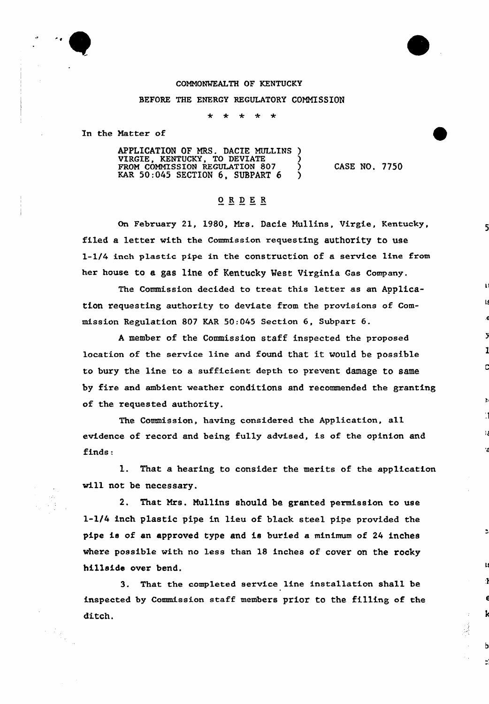

## COMMONWEALTH OF KENTUCKY BEFORE THE ENERGY REGULATORY COMMISSION

 $\ddot{\phantom{1}}$ -يې

In the Natter of

APPLICATION OF MRS. DACIE MULLINS ) VIRGIE, KENTUCKY, TO DEVIATE (1975) FROM COMMISSION REGULATION 807 KAR  $50:045$  SECTION 6, SUBPART 6 )

CASE NO. 7750

٠ź

## ORDER

On February 21, 1980, Mrs. Dacie Nullins, Virgie, Kentucky, filed a letter with the Commission requesting authority to use 1-1/4 inch plastic pipe in the construction of a service line from her house to a gas line of Kentucky Vest Virginia Gas Company.

The Commission decided to txeat this letter as an Application requesting authority to deviate from the provisions of Commission Regulation 807 KAR 50:045 Section 6, Subpart 6.

<sup>A</sup> member of the Commission staff inspected the proposed location of the service line and found that it would be possible to bury the line to a sufficient depth to prevent damage to same by fire and ambient weather conditions and recommended the granting of the requested authority.

The Commission, having considered the Application, all evidence of record and being fully advised, is of the opinion and finds:

1. That a hearing to consider the merits of the application will not be necessary.

2. That Mrs. Nullins should be granted permission to use 1-1/4 inch plastic pipe in lieu of black steel pipe provided the pipe is of an approved type and is buried a minimum of 24 inches where possible with no less than 18 inches of cover on the rocky hillside over bend.

3. That the completed service line installation shall be inspected by Commission staff members prior to the filling of the ditch.